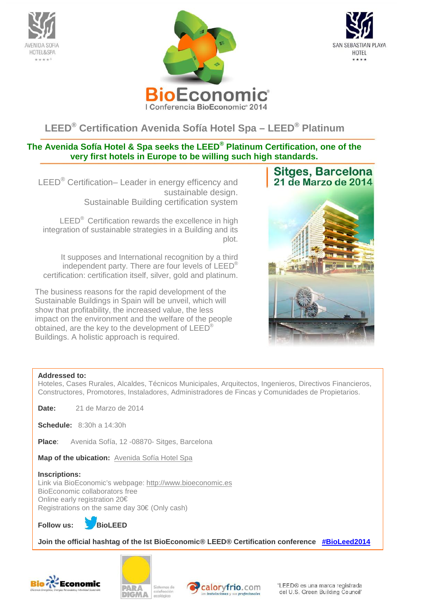





# **LEED® Certification Avenida Sofía Hotel Spa – LEED® Platinum**

# **The Avenida Sofía Hotel & Spa seeks the LEED® Platinum Certification, one of the very first hotels in Europe to be willing such high standards.**

LEED<sup>®</sup> Certification– Leader in energy efficency and sustainable design. Sustainable Building certification system

LEED<sup>®</sup> Certification rewards the excellence in high integration of sustainable strategies in a Building and its plot.

It supposes and International recognition by a third independent party. There are four levels of LEED® certification: certification itself, silver, gold and platinum.

The business reasons for the rapid development of the Sustainable Buildings in Spain will be unveil, which will show that profitability, the increased value, the less impact on the environment and the welfare of the people obtained, are the key to the development of LEED® Buildings. A holistic approach is required.





#### **Addressed to:**

Hoteles, Cases Rurales, Alcaldes, Técnicos Municipales, Arquitectos, Ingenieros, Directivos Financieros, Constructores, Promotores, Instaladores, Administradores de Fincas y Comunidades de Propietarios.

**Date:** 21 de Marzo de 2014

**Schedule:** 8:30h a 14:30h

**Place**: Avenida Sofía, 12 -08870- Sitges, Barcelona

**Map of the ubication:** Avenida Sofía Hotel Spa

**Inscriptions:**

Link via BioEconomic's webpage: http://www.bioeconomic.es BioEconomic collaborators free Online early registration 20€ Registrations on the same day 30€ (Only cash)

**Follow us: @BioLEED**

**Join the official hashtag of the Ist BioEconomic® LEED® Certification conference #BioLeed2014**







"LEED® es una marca registrada del U.S. Green Building Council"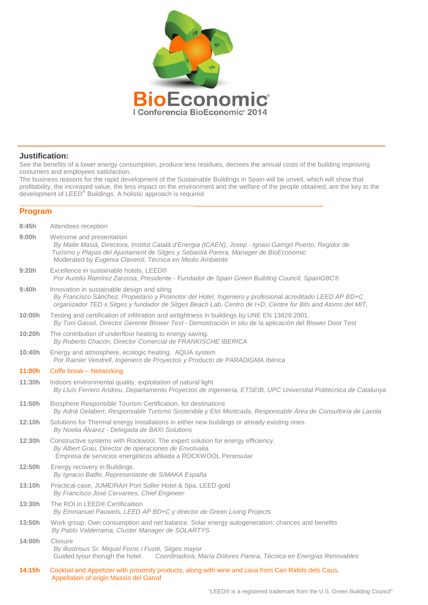

#### **Justification:**

See the benefits of a lower energy consumption, produce less residues, decrees the annual costs of the building improving costumers and employees satisfaction.

The business reasons for the rapid development of the Sustainable Buildings in Spain will be unveil, which will show that profitability, the increased value, the less impact on the environment and the welfare of the people obtained, are the key to the development of LEED® Buildings. A holistic approach is required

#### \_\_\_\_\_\_\_\_\_\_\_\_\_\_\_\_\_\_\_\_\_\_\_\_\_\_\_\_\_\_\_\_\_\_\_\_\_\_\_\_\_\_\_\_\_\_\_\_\_\_\_\_\_\_\_\_\_\_\_\_\_\_\_\_\_\_\_\_\_\_\_\_\_\_\_\_\_\_\_\_\_\_\_\_ **Program**

| 8:45h  | Attendees reception                                                                                                                                                                                                                                                                    |
|--------|----------------------------------------------------------------------------------------------------------------------------------------------------------------------------------------------------------------------------------------------------------------------------------------|
| 9:00h  | Welcome and presentation<br>By Maite Masià, Directora, Institut Català d'Energia (ICAEN), Josep - Ignasi Garrigó Puerto, Regidor de<br>Turismo y Playas del Ajuntament de Sitges y Sebastià Parera, Manager de BioEconomic<br>Moderated by Eugenia Claverol, Técnica en Medio Ambiente |
| 9:20h  | Excellence in sustainable hotels, LEED®<br>Por Aurelio Ramírez Zarzosa, Presidente - Fundador de Spain Green Building Council, SpainGBC®                                                                                                                                               |
| 9:40h  | Innovation in sustainable design and siting<br>By Francisco Sánchez, Propietario y Promotor del Hotel, Ingeniero y profesional acreditado LEED AP BD+C<br>organizador TED x Sitges y fundador de Sitges Beach Lab, Centro de I+D, Centre for Bits and Atoms del MIT,                   |
| 10:00h | Testing and certification of infiltration and airtightness in buildings by UNE EN 13829:2001.<br>By Toni Gassó, Director Gerente Blower Test - Demostración in situ de la aplicación del Blower Door Test                                                                              |
| 10:20h | The contribution of underfloor heating to energy saving.<br>By Roberto Chacón, Director Comercial de FRANKISCHE IBERICA                                                                                                                                                                |
| 10:40h | Energy and atmosphere, ecologic heating, AQUA system<br>Por Rainier Vendrell, Ingeniero de Proyectos y Producto de PARADIGMA Ibérica                                                                                                                                                   |
| 11:00h | Coffe break – Networking                                                                                                                                                                                                                                                               |
| 11:30h | Indoors environmental quality, exploitation of natural light<br>By Lluís Ferrero Andreu, Departamento Proyectos de Ingeniería, ETSEIB, UPC Universitat Politècnica de Catalunya                                                                                                        |
| 11:50h | Biosphere Responsible Tourism Certification, for destinations<br>By Adrià Gelabert, Responsable Turismo Sostenible y Eloi Montcada, Responsable Área de Consultoría de Lavola                                                                                                          |
| 12:10h | Solutions for Thermal energy installations in either new buildings or already existing ones.<br>By Noelia Álvarez - Delegada de BAXI Solutions                                                                                                                                         |
| 12:30h | Constructive systems with Rockwool. The expert solution for energy efficiency.<br>By Albert Grau, Director de operaciones de Envolvalia.<br>Empresa de servicios energéticos afiliada a ROCKWOOL Peninsular                                                                            |
| 12:50h | Energy recovery in Buildings.<br>By Ignacio Batlle, Representante de SIMAKA España                                                                                                                                                                                                     |
| 13:10h | Practical case, JUMEIRAH Port Soller Hotel & Spa, LEED gold<br>By Francisco José Cervantes, Chief Engineer                                                                                                                                                                             |
| 13:30h | The ROI in LEED® Certificaition<br>By Emmanuel Pauwels, LEED AP BD+C y director de Green Living Projects                                                                                                                                                                               |
| 13:50h | Work group: Own consumption and net balance. Solar energy autogeneration: chances and benefits<br>By Pablo Valderrama, Cluster Manager de SOLARTYS                                                                                                                                     |
| 14:00h | Closure<br>By illustrious Sr. Miquel Forns i Fusté, Sitges mayor<br>Guided tyour thorugh the hotel.<br>Coordinadora, María Dolores Parera, Técnica en Energías Renovables                                                                                                              |
| 14:15h | Cocktail and Appetizer with proximity products, along with wine and cava from Can Rafols dels Caus,<br>Appellation of origin Massís del Garraf                                                                                                                                         |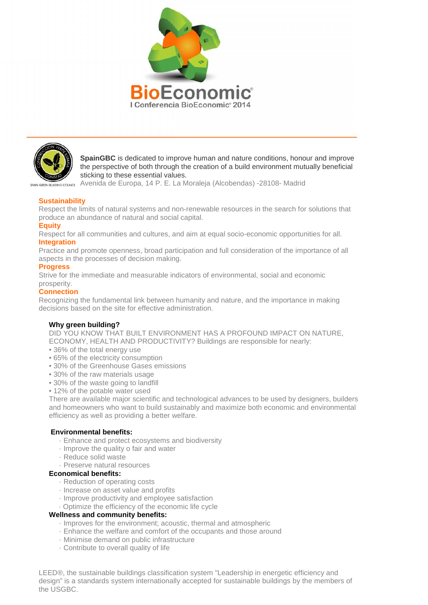



**SpainGBC** is dedicated to improve human and nature conditions, honour and improve the perspective of both through the creation of a build environment mutually beneficial sticking to these essential values.

Avenida de Europa, 14 P. E. La Moraleja (Alcobendas) -28108- Madrid GREEN BUILDING COUNCIL

## **Sustainability**

Respect the limits of natural systems and non-renewable resources in the search for solutions that produce an abundance of natural and social capital.

#### **Equity**

Respect for all communities and cultures, and aim at equal socio-economic opportunities for all. **Integration**

Practice and promote openness, broad participation and full consideration of the importance of all aspects in the processes of decision making.

#### **Progress**

Strive for the immediate and measurable indicators of environmental, social and economic prosperity.

## **Connection**

Recognizing the fundamental link between humanity and nature, and the importance in making decisions based on the site for effective administration.

#### **Why green building?**

DID YOU KNOW THAT BUILT ENVIRONMENT HAS A PROFOUND IMPACT ON NATURE, ECONOMY, HEALTH AND PRODUCTIVITY? Buildings are responsible for nearly:

- 36% of the total energy use
- 65% of the electricity consumption
- 30% of the Greenhouse Gases emissions
- 30% of the raw materials usage
- 30% of the waste going to landfill
- 12% of the potable water used

There are available major scientific and technological advances to be used by designers, builders and homeowners who want to build sustainably and maximize both economic and environmental efficiency as well as providing a better welfare.

#### **Environmental benefits:**

- · Enhance and protect ecosystems and biodiversity
- · Improve the quality o fair and water
- · Reduce solid waste
- · Preserve natural resources

#### **Economical benefits:**

- · Reduction of operating costs
- · Increase on asset value and profits
- · Improve productivity and employee satisfaction
- · Optimize the efficiency of the economic life cycle

## **Wellness and community benefits:**

- · Improves for the environment; acoustic, thermal and atmospheric
- · Enhance the welfare and comfort of the occupants and those around
- · Minimise demand on public infrastructure
- · Contribute to overall quality of life

LEED®, the sustainable buildings classification system "Leadership in energetic efficiency and design" is a standards system internationally accepted for sustainable buildings by the members of the USGBC.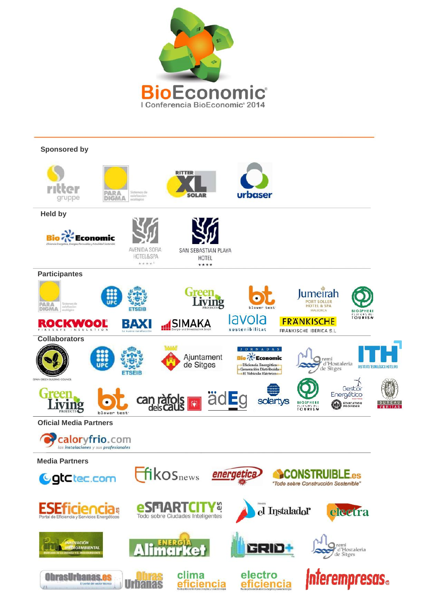